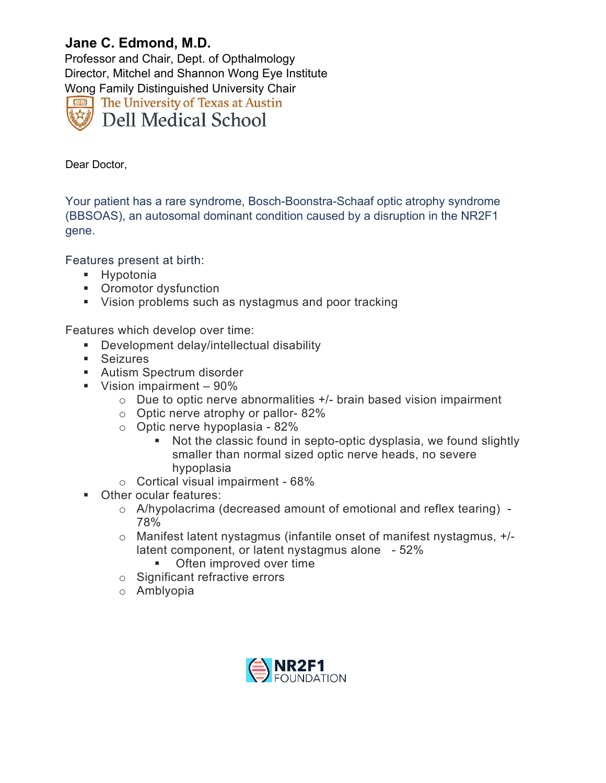## **Jane C. Edmond, M.D.**

Professor and Chair, Dept. of Opthalmology Director, Mitchel and Shannon Wong Eye Institute Wong Family Distinguished University Chair The University of Texas at Austin **Dell Medical School** 

Dear Doctor,

Your patient has a rare syndrome, Bosch-Boonstra-Schaaf optic atrophy syndrome (BBSOAS), an autosomal dominant condition caused by a disruption in the NR2F1 gene.

Features present at birth:

- **Hypotonia**
- **•** Oromotor dysfunction
- Vision problems such as nystagmus and poor tracking

Features which develop over time:

- Development delay/intellectual disability
- **Seizures**
- **Autism Spectrum disorder**
- Vision impairment  $-90\%$ 
	- $\circ$  Due to optic nerve abnormalities  $+/-$  brain based vision impairment
	- o Optic nerve atrophy or pallor- 82%
	- $\circ$  Optic nerve hypoplasia 82%
		- Not the classic found in septo-optic dysplasia, we found slightly smaller than normal sized optic nerve heads, no severe hypoplasia
	- o Cortical visual impairment 68%
- **Other ocular features:** 
	- o A/hypolacrima (decreased amount of emotional and reflex tearing) 78%
	- o Manifest latent nystagmus (infantile onset of manifest nystagmus, +/ latent component, or latent nystagmus alone - 52%
		- **Often improved over time**
	- $\circ$  Significant refractive errors
	- o Amblyopia

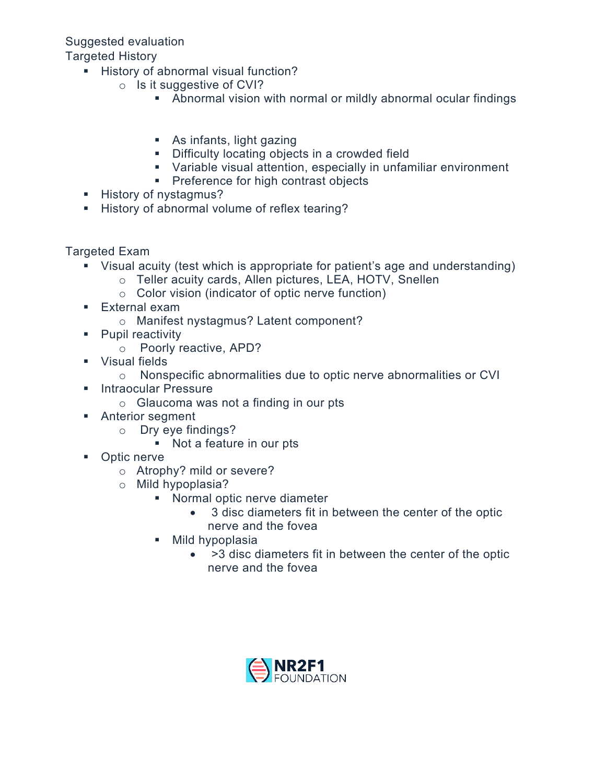## Suggested evaluation

## Targeted History

- History of abnormal visual function?
	- o Is it suggestive of CVI?
		- Abnormal vision with normal or mildly abnormal ocular findings
		- As infants, light gazing
		- **EXECUTE:** Difficulty locating objects in a crowded field
		- Variable visual attention, especially in unfamiliar environment
		- **Preference for high contrast objects**
- History of nystagmus?
- History of abnormal volume of reflex tearing?

Targeted Exam

- Visual acuity (test which is appropriate for patient's age and understanding)
	- o Teller acuity cards, Allen pictures, LEA, HOTV, Snellen
	- o Color vision (indicator of optic nerve function)
- **External exam** 
	- o Manifest nystagmus? Latent component?
- **Pupil reactivity** 
	- o Poorly reactive, APD?
- **v** Visual fields
	- o Nonspecific abnormalities due to optic nerve abnormalities or CVI
- Intraocular Pressure
	- o Glaucoma was not a finding in our pts
- Anterior segment
	- o Dry eye findings?
		- **Not a feature in our pts**
- Optic nerve
	- o Atrophy? mild or severe?
	- o Mild hypoplasia?
		- **Normal optic nerve diameter** 
			- 3 disc diameters fit in between the center of the optic nerve and the fovea
		- **Mild hypoplasia** 
			- >3 disc diameters fit in between the center of the optic nerve and the fovea